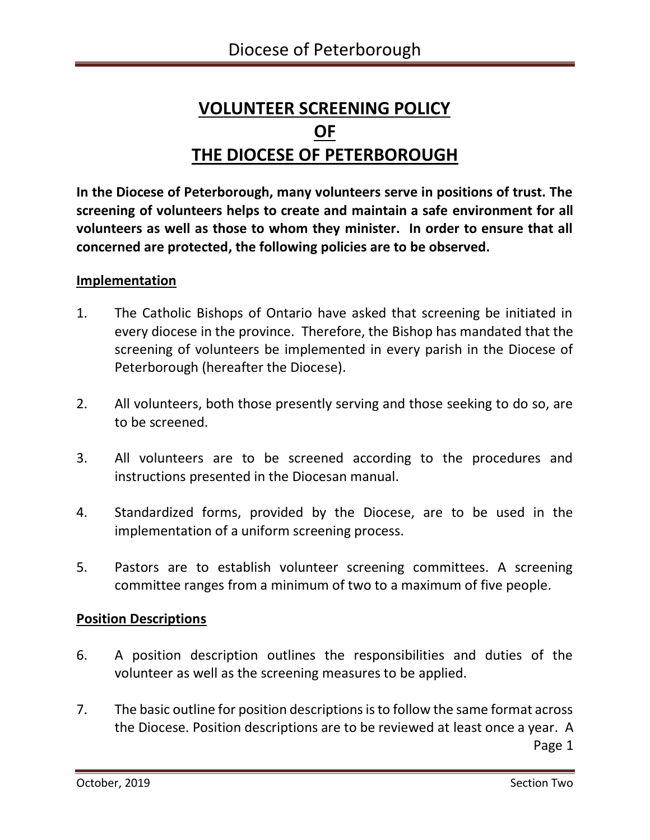# **VOLUNTEER SCREENING POLICY OF THE DIOCESE OF PETERBOROUGH**

**In the Diocese of Peterborough, many volunteers serve in positions of trust. The screening of volunteers helps to create and maintain a safe environment for all volunteers as well as those to whom they minister. In order to ensure that all concerned are protected, the following policies are to be observed.**

## **Implementation**

- 1. The Catholic Bishops of Ontario have asked that screening be initiated in every diocese in the province. Therefore, the Bishop has mandated that the screening of volunteers be implemented in every parish in the Diocese of Peterborough (hereafter the Diocese).
- 2. All volunteers, both those presently serving and those seeking to do so, are to be screened.
- 3. All volunteers are to be screened according to the procedures and instructions presented in the Diocesan manual.
- 4. Standardized forms, provided by the Diocese, are to be used in the implementation of a uniform screening process.
- 5. Pastors are to establish volunteer screening committees. A screening committee ranges from a minimum of two to a maximum of five people.

# **Position Descriptions**

- 6. A position description outlines the responsibilities and duties of the volunteer as well as the screening measures to be applied.
- 7. The basic outline for position descriptions is to follow the same format across the Diocese. Position descriptions are to be reviewed at least once a year. A **Page 1** Page 1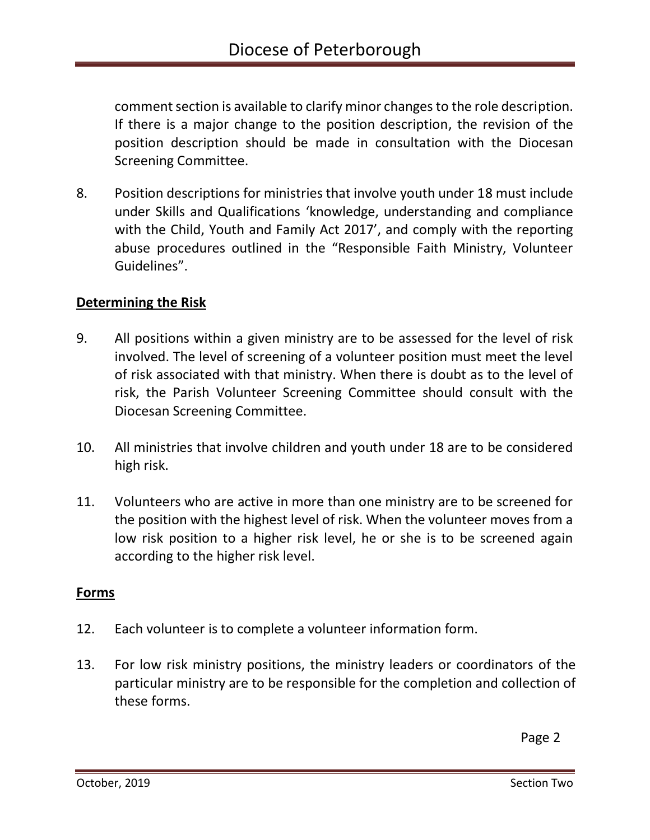comment section is available to clarify minor changes to the role description. If there is a major change to the position description, the revision of the position description should be made in consultation with the Diocesan Screening Committee.

8. Position descriptions for ministries that involve youth under 18 must include under Skills and Qualifications 'knowledge, understanding and compliance with the Child, Youth and Family Act 2017', and comply with the reporting abuse procedures outlined in the "Responsible Faith Ministry, Volunteer Guidelines".

# **Determining the Risk**

- 9. All positions within a given ministry are to be assessed for the level of risk involved. The level of screening of a volunteer position must meet the level of risk associated with that ministry. When there is doubt as to the level of risk, the Parish Volunteer Screening Committee should consult with the Diocesan Screening Committee.
- 10. All ministries that involve children and youth under 18 are to be considered high risk.
- 11. Volunteers who are active in more than one ministry are to be screened for the position with the highest level of risk. When the volunteer moves from a low risk position to a higher risk level, he or she is to be screened again according to the higher risk level.

### **Forms**

- 12. Each volunteer is to complete a volunteer information form.
- 13. For low risk ministry positions, the ministry leaders or coordinators of the particular ministry are to be responsible for the completion and collection of these forms.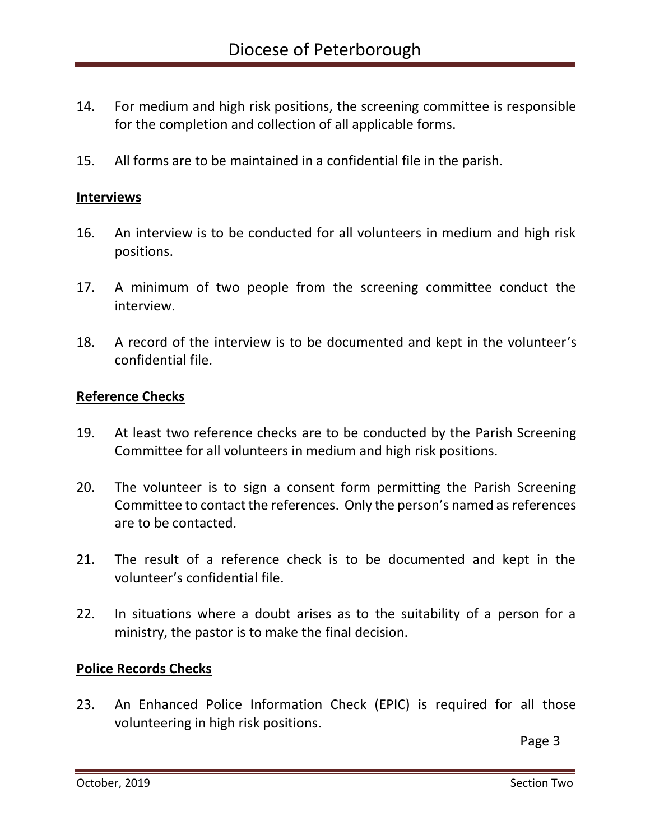- 14. For medium and high risk positions, the screening committee is responsible for the completion and collection of all applicable forms.
- 15. All forms are to be maintained in a confidential file in the parish.

#### **Interviews**

- 16. An interview is to be conducted for all volunteers in medium and high risk positions.
- 17. A minimum of two people from the screening committee conduct the interview.
- 18. A record of the interview is to be documented and kept in the volunteer's confidential file.

#### **Reference Checks**

- 19. At least two reference checks are to be conducted by the Parish Screening Committee for all volunteers in medium and high risk positions.
- 20. The volunteer is to sign a consent form permitting the Parish Screening Committee to contact the references. Only the person's named as references are to be contacted.
- 21. The result of a reference check is to be documented and kept in the volunteer's confidential file.
- 22. In situations where a doubt arises as to the suitability of a person for a ministry, the pastor is to make the final decision.

### **Police Records Checks**

23. An Enhanced Police Information Check (EPIC) is required for all those volunteering in high risk positions.

**Page 3** Page 3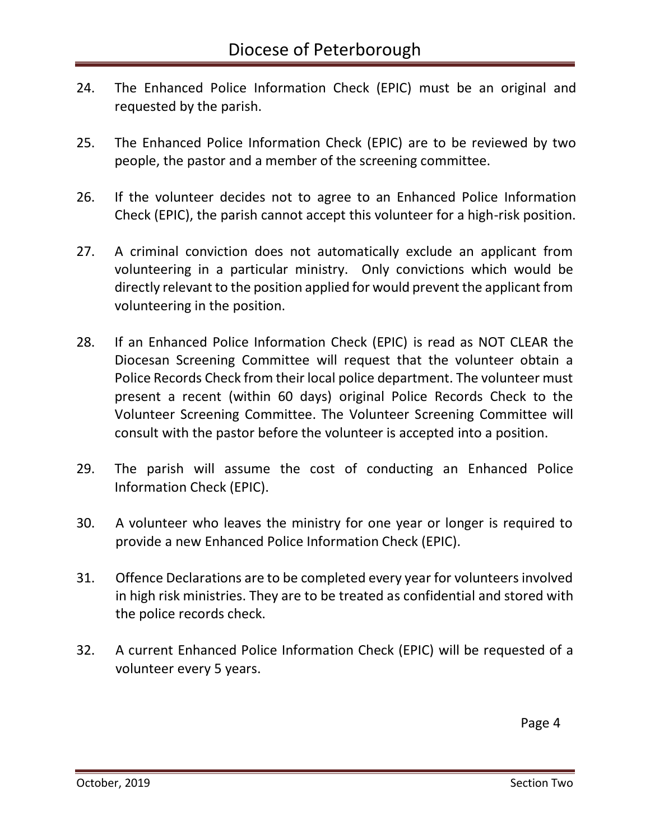- 24. The Enhanced Police Information Check (EPIC) must be an original and requested by the parish.
- 25. The Enhanced Police Information Check (EPIC) are to be reviewed by two people, the pastor and a member of the screening committee.
- 26. If the volunteer decides not to agree to an Enhanced Police Information Check (EPIC), the parish cannot accept this volunteer for a high-risk position.
- 27. A criminal conviction does not automatically exclude an applicant from volunteering in a particular ministry. Only convictions which would be directly relevant to the position applied for would prevent the applicant from volunteering in the position.
- 28. If an Enhanced Police Information Check (EPIC) is read as NOT CLEAR the Diocesan Screening Committee will request that the volunteer obtain a Police Records Check from their local police department. The volunteer must present a recent (within 60 days) original Police Records Check to the Volunteer Screening Committee. The Volunteer Screening Committee will consult with the pastor before the volunteer is accepted into a position.
- 29. The parish will assume the cost of conducting an Enhanced Police Information Check (EPIC).
- 30. A volunteer who leaves the ministry for one year or longer is required to provide a new Enhanced Police Information Check (EPIC).
- 31. Offence Declarations are to be completed every year for volunteers involved in high risk ministries. They are to be treated as confidential and stored with the police records check.
- 32. A current Enhanced Police Information Check (EPIC) will be requested of a volunteer every 5 years.

Page 4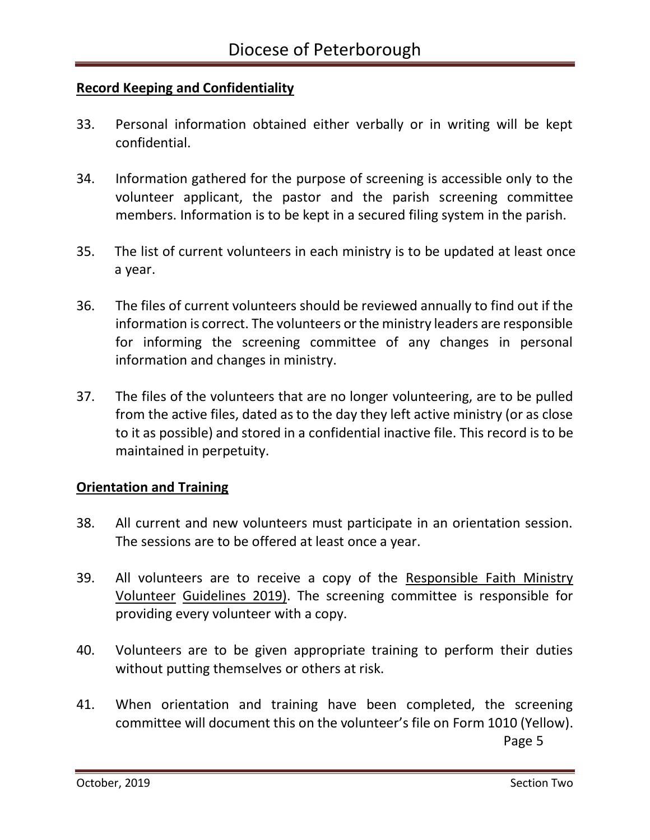# **Record Keeping and Confidentiality**

- 33. Personal information obtained either verbally or in writing will be kept confidential.
- 34. Information gathered for the purpose of screening is accessible only to the volunteer applicant, the pastor and the parish screening committee members. Information is to be kept in a secured filing system in the parish.
- 35. The list of current volunteers in each ministry is to be updated at least once a year.
- 36. The files of current volunteers should be reviewed annually to find out if the information is correct. The volunteers or the ministry leaders are responsible for informing the screening committee of any changes in personal information and changes in ministry.
- 37. The files of the volunteers that are no longer volunteering, are to be pulled from the active files, dated as to the day they left active ministry (or as close to it as possible) and stored in a confidential inactive file. This record is to be maintained in perpetuity.

### **Orientation and Training**

- 38. All current and new volunteers must participate in an orientation session. The sessions are to be offered at least once a year.
- 39. All volunteers are to receive a copy of the Responsible Faith Ministry Volunteer Guidelines 2019). The screening committee is responsible for providing every volunteer with a copy.
- 40. Volunteers are to be given appropriate training to perform their duties without putting themselves or others at risk.
- 41. When orientation and training have been completed, the screening committee will document this on the volunteer's file on Form 1010 (Yellow). **Page 5** Page 5